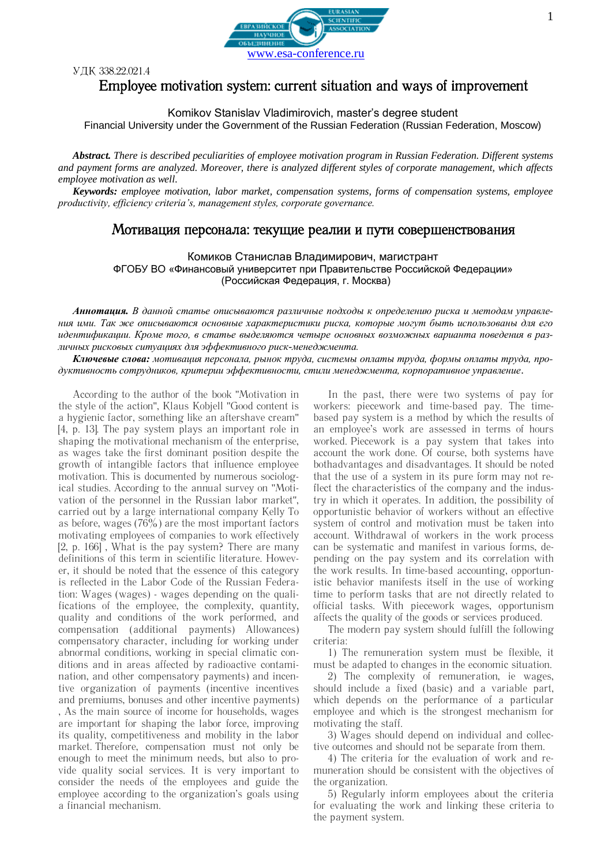

УДК 338.22.021.4

## Employee motivation system: current situation and ways of improvement

Komikov Stanislav Vladimirovich, master's degree student

Financial University under the Government of the Russian Federation (Russian Federation, Moscow)

*Abstract. There is described peculiarities of employee motivation program in Russian Federation. Different systems and payment forms are analyzed. Moreover, there is analyzed different styles of corporate management, which affects employee motivation as well.* 

*Keywords: employee motivation, labor market, compensation systems, forms of compensation systems, employee productivity, efficiency criteria's, management styles, corporate governance.*

## Мотивация персонала: текущие реалии и пути совершенствования

Комиков Станислав Владимирович, магистрант ФГОБУ ВО «Финансовый университет при Правительстве Российской Федерации» (Российская Федерация, г. Москва)

*Аннотация. В данной статье описываются различные подходы к определению риска и методам управления ими. Так же описываются основные характеристики риска, которые могут быть использованы для его идентификации. Кроме того, в статье выделяются четыре основных возможных варианта поведения в различных рисковых ситуациях для эффективного риск-менеджмента.*

*Ключевые слова: мотивация персонала, рынок труда, системы оплаты труда, формы оплаты труда, продуктивность сотрудников, критерии эффективности, стили менеджмента, корпоративное управление.*

According to the author of the book "Motivation in the style of the action", Klaus Kobjell "Good content is a hygienic factor, something like an aftershave cream" [4, p. 13]. The pay system plays an important role in shaping the motivational mechanism of the enterprise, as wages take the first dominant position despite the growth of intangible factors that influence employee motivation. This is documented by numerous sociological studies. According to the annual survey on "Motivation of the personnel in the Russian labor market", carried out by a large international company Kelly To as before, wages  $(76\%)$  are the most important factors motivating employees of companies to work effectively [2, p. 166] , What is the pay system? There are many definitions of this term in scientific literature. However, it should be noted that the essence of this category is reflected in the Labor Code of the Russian Federation: Wages (wages) - wages depending on the qualifications of the employee, the complexity, quantity, quality and conditions of the work performed, and compensation (additional payments) Allowances) compensatory character, including for working under abnormal conditions, working in special climatic conditions and in areas affected by radioactive contamination, and other compensatory payments) and incentive organization of payments (incentive incentives and premiums, bonuses and other incentive payments) , As the main source of income for households, wages are important for shaping the labor force, improving its quality, competitiveness and mobility in the labor market. Therefore, compensation must not only be enough to meet the minimum needs, but also to provide quality social services. It is very important to consider the needs of the employees and guide the employee according to the organization's goals using a financial mechanism.

In the past, there were two systems of pay for workers: piecework and time-based pay. The timebased pay system is a method by which the results of an employee's work are assessed in terms of hours worked. Piecework is a pay system that takes into account the work done. Of course, both systems have bothadvantages and disadvantages. It should be noted that the use of a system in its pure form may not reflect the characteristics of the company and the industry in which it operates. In addition, the possibility of opportunistic behavior of workers without an effective system of control and motivation must be taken into account. Withdrawal of workers in the work process can be systematic and manifest in various forms, depending on the pay system and its correlation with the work results. In time-based accounting, opportunistic behavior manifests itself in the use of working time to perform tasks that are not directly related to official tasks. With piecework wages, opportunism affects the quality of the goods or services produced.

The modern pay system should fulfill the following criteria:

1) The remuneration system must be flexible, it must be adapted to changes in the economic situation.

2) The complexity of remuneration, ie wages, should include a fixed (basic) and a variable part, which depends on the performance of a particular employee and which is the strongest mechanism for motivating the staff.

3) Wages should depend on individual and collective outcomes and should not be separate from them.

4) The criteria for the evaluation of work and remuneration should be consistent with the objectives of the organization.

5) Regularly inform employees about the criteria for evaluating the work and linking these criteria to the payment system.